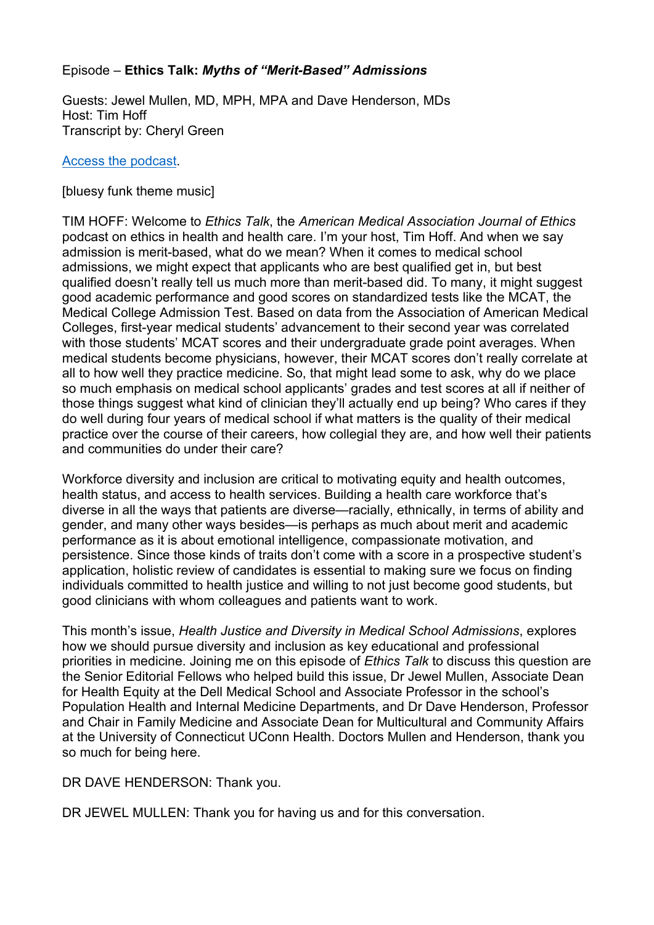# Episode – **Ethics Talk:** *Myths of "Merit-Based" Admissions*

Guests: Jewel Mullen, MD, MPH, MPA and Dave Henderson, MDs Host: Tim Hoff Transcript by: Cheryl Green

#### [Access the podcast.](https://journalofethics.ama-assn.org/podcast/ethics-talk-myths-merit-based-admissions)

#### [bluesy funk theme music]

TIM HOFF: Welcome to *Ethics Talk*, the *American Medical Association Journal of Ethics* podcast on ethics in health and health care. I'm your host, Tim Hoff. And when we say admission is merit-based, what do we mean? When it comes to medical school admissions, we might expect that applicants who are best qualified get in, but best qualified doesn't really tell us much more than merit-based did. To many, it might suggest good academic performance and good scores on standardized tests like the MCAT, the Medical College Admission Test. Based on data from the Association of American Medical Colleges, first-year medical students' advancement to their second year was correlated with those students' MCAT scores and their undergraduate grade point averages. When medical students become physicians, however, their MCAT scores don't really correlate at all to how well they practice medicine. So, that might lead some to ask, why do we place so much emphasis on medical school applicants' grades and test scores at all if neither of those things suggest what kind of clinician they'll actually end up being? Who cares if they do well during four years of medical school if what matters is the quality of their medical practice over the course of their careers, how collegial they are, and how well their patients and communities do under their care?

Workforce diversity and inclusion are critical to motivating equity and health outcomes, health status, and access to health services. Building a health care workforce that's diverse in all the ways that patients are diverse—racially, ethnically, in terms of ability and gender, and many other ways besides—is perhaps as much about merit and academic performance as it is about emotional intelligence, compassionate motivation, and persistence. Since those kinds of traits don't come with a score in a prospective student's application, holistic review of candidates is essential to making sure we focus on finding individuals committed to health justice and willing to not just become good students, but good clinicians with whom colleagues and patients want to work.

This month's issue, *Health Justice and Diversity in Medical School Admissions*, explores how we should pursue diversity and inclusion as key educational and professional priorities in medicine. Joining me on this episode of *Ethics Talk* to discuss this question are the Senior Editorial Fellows who helped build this issue, Dr Jewel Mullen, Associate Dean for Health Equity at the Dell Medical School and Associate Professor in the school's Population Health and Internal Medicine Departments, and Dr Dave Henderson, Professor and Chair in Family Medicine and Associate Dean for Multicultural and Community Affairs at the University of Connecticut UConn Health. Doctors Mullen and Henderson, thank you so much for being here.

DR DAVE HENDERSON: Thank you.

DR JEWEL MULLEN: Thank you for having us and for this conversation.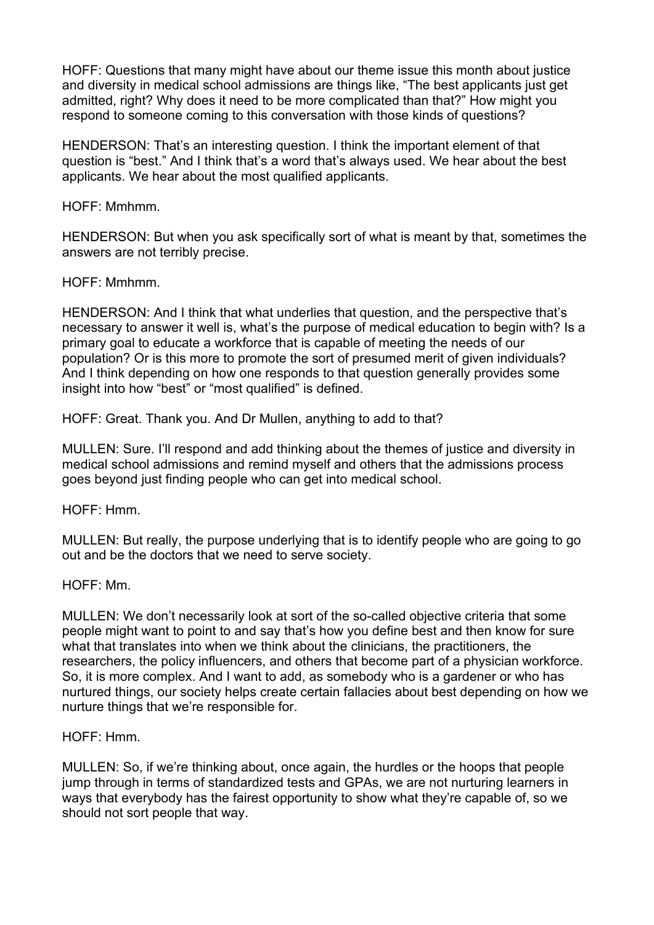HOFF: Questions that many might have about our theme issue this month about justice and diversity in medical school admissions are things like, "The best applicants just get admitted, right? Why does it need to be more complicated than that?" How might you respond to someone coming to this conversation with those kinds of questions?

HENDERSON: That's an interesting question. I think the important element of that question is "best." And I think that's a word that's always used. We hear about the best applicants. We hear about the most qualified applicants.

HOFF: Mmhmm.

HENDERSON: But when you ask specifically sort of what is meant by that, sometimes the answers are not terribly precise.

HOFF: Mmhmm.

HENDERSON: And I think that what underlies that question, and the perspective that's necessary to answer it well is, what's the purpose of medical education to begin with? Is a primary goal to educate a workforce that is capable of meeting the needs of our population? Or is this more to promote the sort of presumed merit of given individuals? And I think depending on how one responds to that question generally provides some insight into how "best" or "most qualified" is defined.

HOFF: Great. Thank you. And Dr Mullen, anything to add to that?

MULLEN: Sure. I'll respond and add thinking about the themes of justice and diversity in medical school admissions and remind myself and others that the admissions process goes beyond just finding people who can get into medical school.

HOFF: Hmm.

MULLEN: But really, the purpose underlying that is to identify people who are going to go out and be the doctors that we need to serve society.

HOFF: Mm.

MULLEN: We don't necessarily look at sort of the so-called objective criteria that some people might want to point to and say that's how you define best and then know for sure what that translates into when we think about the clinicians, the practitioners, the researchers, the policy influencers, and others that become part of a physician workforce. So, it is more complex. And I want to add, as somebody who is a gardener or who has nurtured things, our society helps create certain fallacies about best depending on how we nurture things that we're responsible for.

HOFF: Hmm.

MULLEN: So, if we're thinking about, once again, the hurdles or the hoops that people jump through in terms of standardized tests and GPAs, we are not nurturing learners in ways that everybody has the fairest opportunity to show what they're capable of, so we should not sort people that way.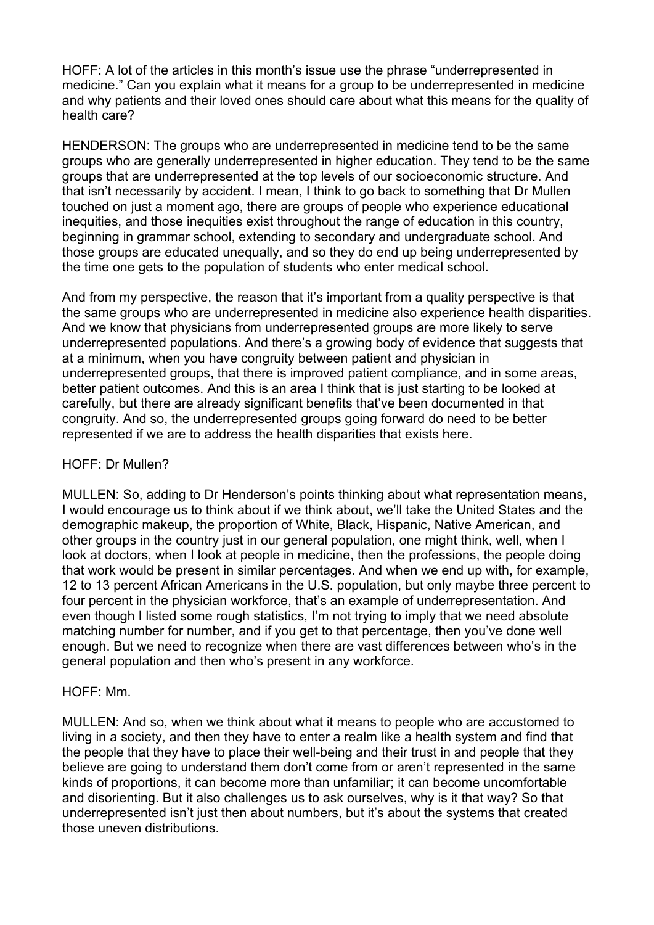HOFF: A lot of the articles in this month's issue use the phrase "underrepresented in medicine." Can you explain what it means for a group to be underrepresented in medicine and why patients and their loved ones should care about what this means for the quality of health care?

HENDERSON: The groups who are underrepresented in medicine tend to be the same groups who are generally underrepresented in higher education. They tend to be the same groups that are underrepresented at the top levels of our socioeconomic structure. And that isn't necessarily by accident. I mean, I think to go back to something that Dr Mullen touched on just a moment ago, there are groups of people who experience educational inequities, and those inequities exist throughout the range of education in this country, beginning in grammar school, extending to secondary and undergraduate school. And those groups are educated unequally, and so they do end up being underrepresented by the time one gets to the population of students who enter medical school.

And from my perspective, the reason that it's important from a quality perspective is that the same groups who are underrepresented in medicine also experience health disparities. And we know that physicians from underrepresented groups are more likely to serve underrepresented populations. And there's a growing body of evidence that suggests that at a minimum, when you have congruity between patient and physician in underrepresented groups, that there is improved patient compliance, and in some areas, better patient outcomes. And this is an area I think that is just starting to be looked at carefully, but there are already significant benefits that've been documented in that congruity. And so, the underrepresented groups going forward do need to be better represented if we are to address the health disparities that exists here.

### HOFF: Dr Mullen?

MULLEN: So, adding to Dr Henderson's points thinking about what representation means, I would encourage us to think about if we think about, we'll take the United States and the demographic makeup, the proportion of White, Black, Hispanic, Native American, and other groups in the country just in our general population, one might think, well, when I look at doctors, when I look at people in medicine, then the professions, the people doing that work would be present in similar percentages. And when we end up with, for example, 12 to 13 percent African Americans in the U.S. population, but only maybe three percent to four percent in the physician workforce, that's an example of underrepresentation. And even though I listed some rough statistics, I'm not trying to imply that we need absolute matching number for number, and if you get to that percentage, then you've done well enough. But we need to recognize when there are vast differences between who's in the general population and then who's present in any workforce.

### HOFF: Mm.

MULLEN: And so, when we think about what it means to people who are accustomed to living in a society, and then they have to enter a realm like a health system and find that the people that they have to place their well-being and their trust in and people that they believe are going to understand them don't come from or aren't represented in the same kinds of proportions, it can become more than unfamiliar; it can become uncomfortable and disorienting. But it also challenges us to ask ourselves, why is it that way? So that underrepresented isn't just then about numbers, but it's about the systems that created those uneven distributions.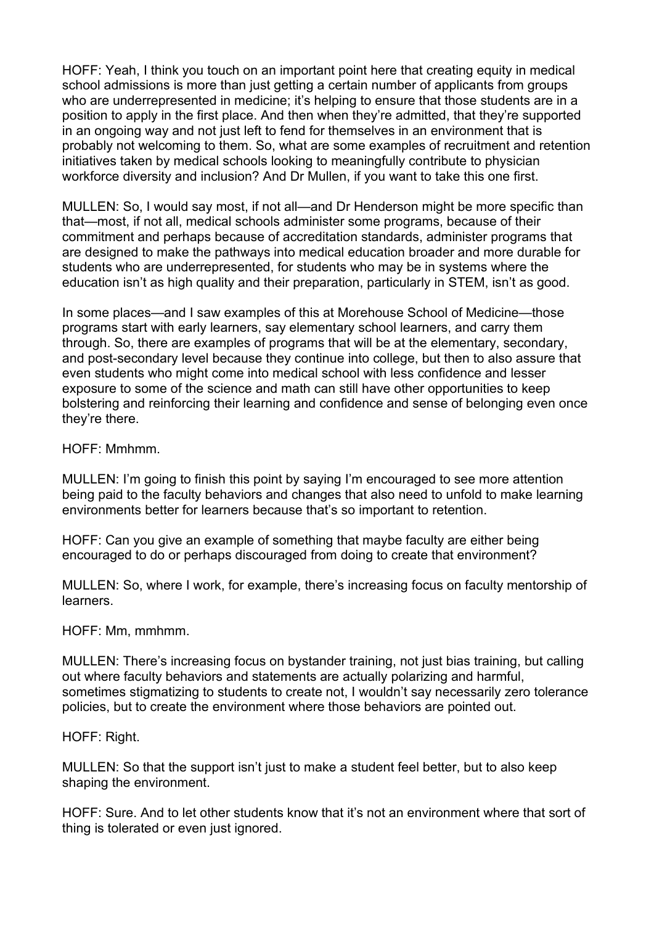HOFF: Yeah, I think you touch on an important point here that creating equity in medical school admissions is more than just getting a certain number of applicants from groups who are underrepresented in medicine; it's helping to ensure that those students are in a position to apply in the first place. And then when they're admitted, that they're supported in an ongoing way and not just left to fend for themselves in an environment that is probably not welcoming to them. So, what are some examples of recruitment and retention initiatives taken by medical schools looking to meaningfully contribute to physician workforce diversity and inclusion? And Dr Mullen, if you want to take this one first.

MULLEN: So, I would say most, if not all—and Dr Henderson might be more specific than that—most, if not all, medical schools administer some programs, because of their commitment and perhaps because of accreditation standards, administer programs that are designed to make the pathways into medical education broader and more durable for students who are underrepresented, for students who may be in systems where the education isn't as high quality and their preparation, particularly in STEM, isn't as good.

In some places—and I saw examples of this at Morehouse School of Medicine—those programs start with early learners, say elementary school learners, and carry them through. So, there are examples of programs that will be at the elementary, secondary, and post-secondary level because they continue into college, but then to also assure that even students who might come into medical school with less confidence and lesser exposure to some of the science and math can still have other opportunities to keep bolstering and reinforcing their learning and confidence and sense of belonging even once they're there.

HOFF: Mmhmm.

MULLEN: I'm going to finish this point by saying I'm encouraged to see more attention being paid to the faculty behaviors and changes that also need to unfold to make learning environments better for learners because that's so important to retention.

HOFF: Can you give an example of something that maybe faculty are either being encouraged to do or perhaps discouraged from doing to create that environment?

MULLEN: So, where I work, for example, there's increasing focus on faculty mentorship of learners.

HOFF: Mm, mmhmm.

MULLEN: There's increasing focus on bystander training, not just bias training, but calling out where faculty behaviors and statements are actually polarizing and harmful, sometimes stigmatizing to students to create not, I wouldn't say necessarily zero tolerance policies, but to create the environment where those behaviors are pointed out.

HOFF: Right.

MULLEN: So that the support isn't just to make a student feel better, but to also keep shaping the environment.

HOFF: Sure. And to let other students know that it's not an environment where that sort of thing is tolerated or even just ignored.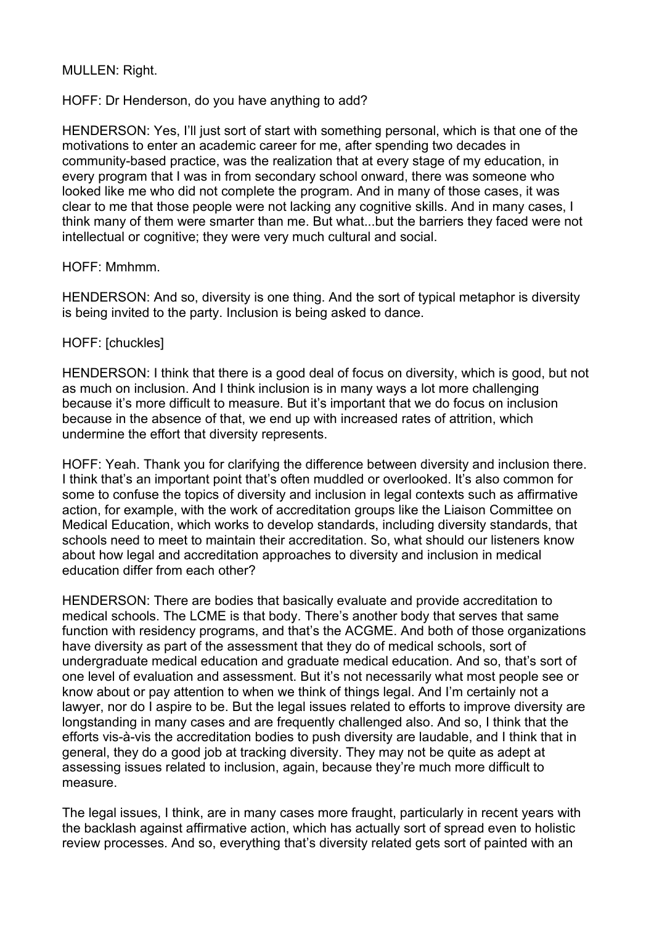### MULLEN: Right.

#### HOFF: Dr Henderson, do you have anything to add?

HENDERSON: Yes, I'll just sort of start with something personal, which is that one of the motivations to enter an academic career for me, after spending two decades in community-based practice, was the realization that at every stage of my education, in every program that I was in from secondary school onward, there was someone who looked like me who did not complete the program. And in many of those cases, it was clear to me that those people were not lacking any cognitive skills. And in many cases, I think many of them were smarter than me. But what...but the barriers they faced were not intellectual or cognitive; they were very much cultural and social.

#### HOFF: Mmhmm.

HENDERSON: And so, diversity is one thing. And the sort of typical metaphor is diversity is being invited to the party. Inclusion is being asked to dance.

#### HOFF: [chuckles]

HENDERSON: I think that there is a good deal of focus on diversity, which is good, but not as much on inclusion. And I think inclusion is in many ways a lot more challenging because it's more difficult to measure. But it's important that we do focus on inclusion because in the absence of that, we end up with increased rates of attrition, which undermine the effort that diversity represents.

HOFF: Yeah. Thank you for clarifying the difference between diversity and inclusion there. I think that's an important point that's often muddled or overlooked. It's also common for some to confuse the topics of diversity and inclusion in legal contexts such as affirmative action, for example, with the work of accreditation groups like the Liaison Committee on Medical Education, which works to develop standards, including diversity standards, that schools need to meet to maintain their accreditation. So, what should our listeners know about how legal and accreditation approaches to diversity and inclusion in medical education differ from each other?

HENDERSON: There are bodies that basically evaluate and provide accreditation to medical schools. The LCME is that body. There's another body that serves that same function with residency programs, and that's the ACGME. And both of those organizations have diversity as part of the assessment that they do of medical schools, sort of undergraduate medical education and graduate medical education. And so, that's sort of one level of evaluation and assessment. But it's not necessarily what most people see or know about or pay attention to when we think of things legal. And I'm certainly not a lawyer, nor do I aspire to be. But the legal issues related to efforts to improve diversity are longstanding in many cases and are frequently challenged also. And so, I think that the efforts vis-à-vis the accreditation bodies to push diversity are laudable, and I think that in general, they do a good job at tracking diversity. They may not be quite as adept at assessing issues related to inclusion, again, because they're much more difficult to measure.

The legal issues, I think, are in many cases more fraught, particularly in recent years with the backlash against affirmative action, which has actually sort of spread even to holistic review processes. And so, everything that's diversity related gets sort of painted with an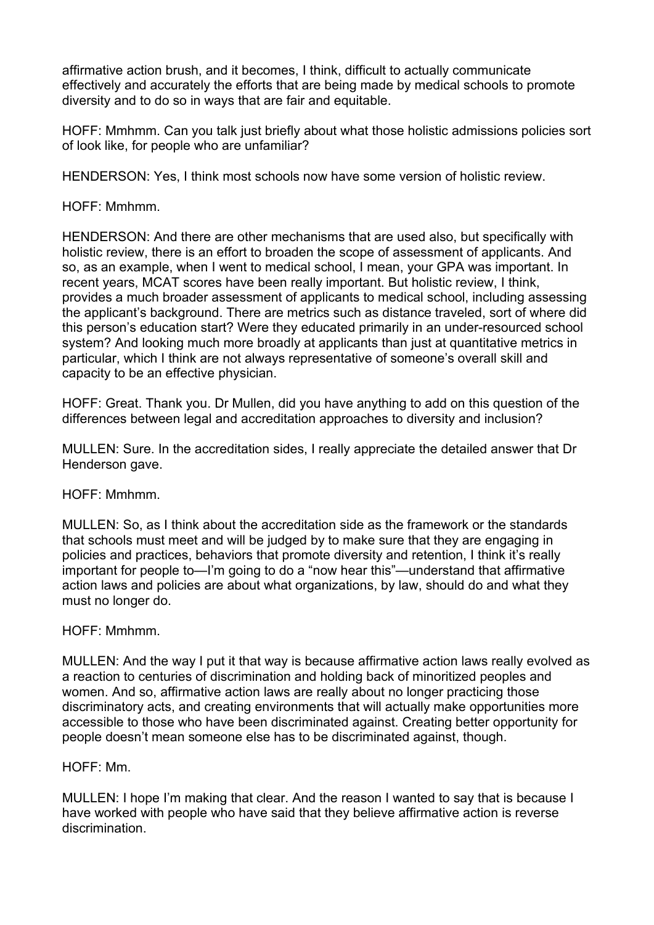affirmative action brush, and it becomes, I think, difficult to actually communicate effectively and accurately the efforts that are being made by medical schools to promote diversity and to do so in ways that are fair and equitable.

HOFF: Mmhmm. Can you talk just briefly about what those holistic admissions policies sort of look like, for people who are unfamiliar?

HENDERSON: Yes, I think most schools now have some version of holistic review.

## HOFF: Mmhmm.

HENDERSON: And there are other mechanisms that are used also, but specifically with holistic review, there is an effort to broaden the scope of assessment of applicants. And so, as an example, when I went to medical school, I mean, your GPA was important. In recent years, MCAT scores have been really important. But holistic review, I think, provides a much broader assessment of applicants to medical school, including assessing the applicant's background. There are metrics such as distance traveled, sort of where did this person's education start? Were they educated primarily in an under-resourced school system? And looking much more broadly at applicants than just at quantitative metrics in particular, which I think are not always representative of someone's overall skill and capacity to be an effective physician.

HOFF: Great. Thank you. Dr Mullen, did you have anything to add on this question of the differences between legal and accreditation approaches to diversity and inclusion?

MULLEN: Sure. In the accreditation sides, I really appreciate the detailed answer that Dr Henderson gave.

### HOFF: Mmhmm.

MULLEN: So, as I think about the accreditation side as the framework or the standards that schools must meet and will be judged by to make sure that they are engaging in policies and practices, behaviors that promote diversity and retention, I think it's really important for people to—I'm going to do a "now hear this"—understand that affirmative action laws and policies are about what organizations, by law, should do and what they must no longer do.

### HOFF: Mmhmm.

MULLEN: And the way I put it that way is because affirmative action laws really evolved as a reaction to centuries of discrimination and holding back of minoritized peoples and women. And so, affirmative action laws are really about no longer practicing those discriminatory acts, and creating environments that will actually make opportunities more accessible to those who have been discriminated against. Creating better opportunity for people doesn't mean someone else has to be discriminated against, though.

### HOFF: Mm.

MULLEN: I hope I'm making that clear. And the reason I wanted to say that is because I have worked with people who have said that they believe affirmative action is reverse discrimination.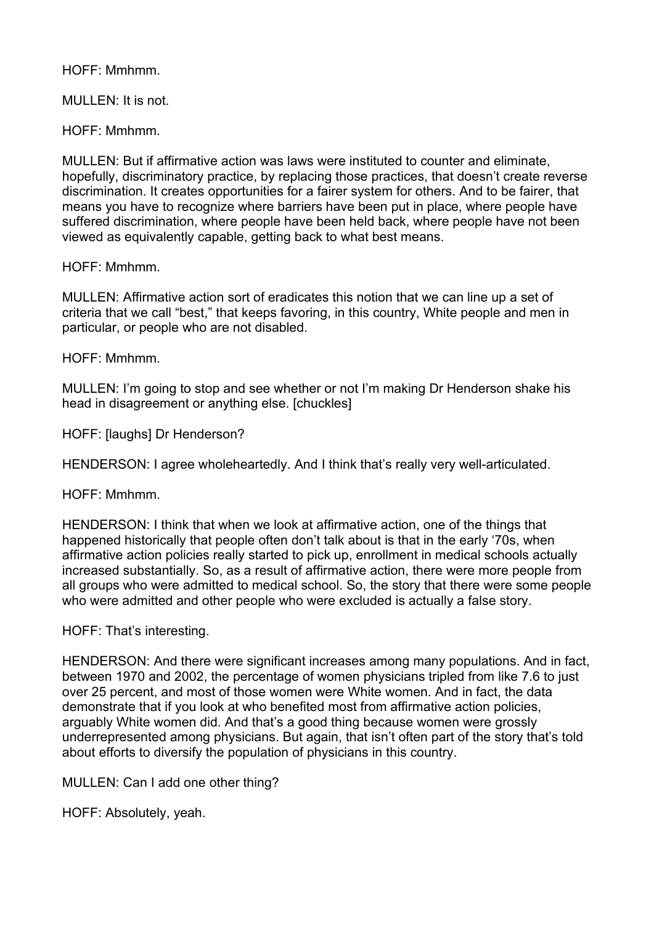## HOFF: Mmhmm.

# MULLEN: It is not.

HOFF: Mmhmm.

MULLEN: But if affirmative action was laws were instituted to counter and eliminate, hopefully, discriminatory practice, by replacing those practices, that doesn't create reverse discrimination. It creates opportunities for a fairer system for others. And to be fairer, that means you have to recognize where barriers have been put in place, where people have suffered discrimination, where people have been held back, where people have not been viewed as equivalently capable, getting back to what best means.

## HOFF: Mmhmm.

MULLEN: Affirmative action sort of eradicates this notion that we can line up a set of criteria that we call "best," that keeps favoring, in this country, White people and men in particular, or people who are not disabled.

## HOFF: Mmhmm.

MULLEN: I'm going to stop and see whether or not I'm making Dr Henderson shake his head in disagreement or anything else. [chuckles]

HOFF: [laughs] Dr Henderson?

HENDERSON: I agree wholeheartedly. And I think that's really very well-articulated.

HOFF: Mmhmm.

HENDERSON: I think that when we look at affirmative action, one of the things that happened historically that people often don't talk about is that in the early '70s, when affirmative action policies really started to pick up, enrollment in medical schools actually increased substantially. So, as a result of affirmative action, there were more people from all groups who were admitted to medical school. So, the story that there were some people who were admitted and other people who were excluded is actually a false story.

HOFF: That's interesting.

HENDERSON: And there were significant increases among many populations. And in fact, between 1970 and 2002, the percentage of women physicians tripled from like 7.6 to just over 25 percent, and most of those women were White women. And in fact, the data demonstrate that if you look at who benefited most from affirmative action policies, arguably White women did. And that's a good thing because women were grossly underrepresented among physicians. But again, that isn't often part of the story that's told about efforts to diversify the population of physicians in this country.

MULLEN: Can I add one other thing?

HOFF: Absolutely, yeah.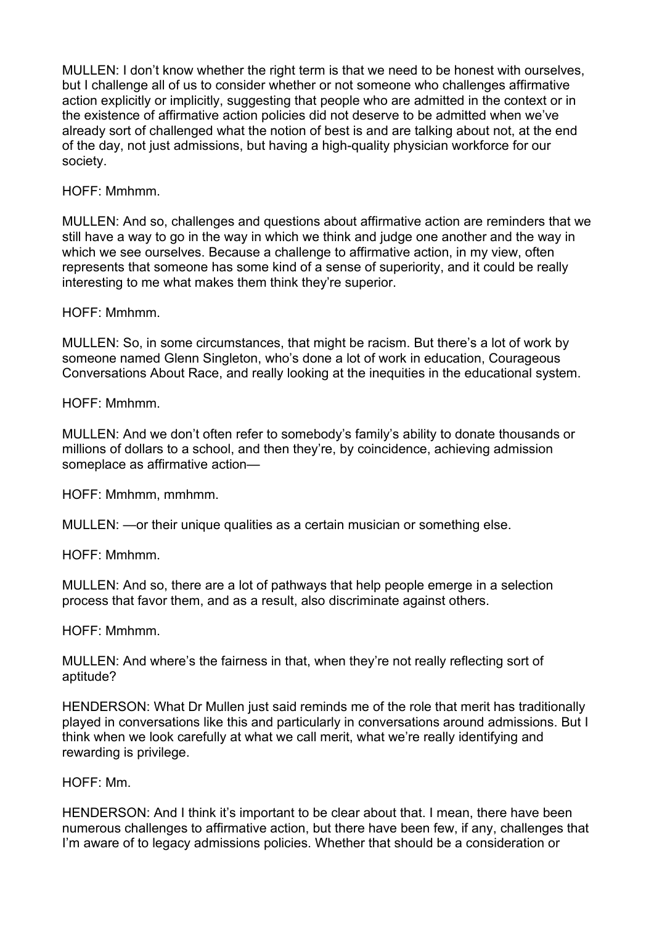MULLEN: I don't know whether the right term is that we need to be honest with ourselves, but I challenge all of us to consider whether or not someone who challenges affirmative action explicitly or implicitly, suggesting that people who are admitted in the context or in the existence of affirmative action policies did not deserve to be admitted when we've already sort of challenged what the notion of best is and are talking about not, at the end of the day, not just admissions, but having a high-quality physician workforce for our society.

HOFF: Mmhmm.

MULLEN: And so, challenges and questions about affirmative action are reminders that we still have a way to go in the way in which we think and judge one another and the way in which we see ourselves. Because a challenge to affirmative action, in my view, often represents that someone has some kind of a sense of superiority, and it could be really interesting to me what makes them think they're superior.

HOFF: Mmhmm.

MULLEN: So, in some circumstances, that might be racism. But there's a lot of work by someone named Glenn Singleton, who's done a lot of work in education, Courageous Conversations About Race, and really looking at the inequities in the educational system.

HOFF: Mmhmm.

MULLEN: And we don't often refer to somebody's family's ability to donate thousands or millions of dollars to a school, and then they're, by coincidence, achieving admission someplace as affirmative action—

HOFF: Mmhmm, mmhmm.

MULLEN: —or their unique qualities as a certain musician or something else.

HOFF: Mmhmm.

MULLEN: And so, there are a lot of pathways that help people emerge in a selection process that favor them, and as a result, also discriminate against others.

HOFF: Mmhmm.

MULLEN: And where's the fairness in that, when they're not really reflecting sort of aptitude?

HENDERSON: What Dr Mullen just said reminds me of the role that merit has traditionally played in conversations like this and particularly in conversations around admissions. But I think when we look carefully at what we call merit, what we're really identifying and rewarding is privilege.

### HOFF: Mm.

HENDERSON: And I think it's important to be clear about that. I mean, there have been numerous challenges to affirmative action, but there have been few, if any, challenges that I'm aware of to legacy admissions policies. Whether that should be a consideration or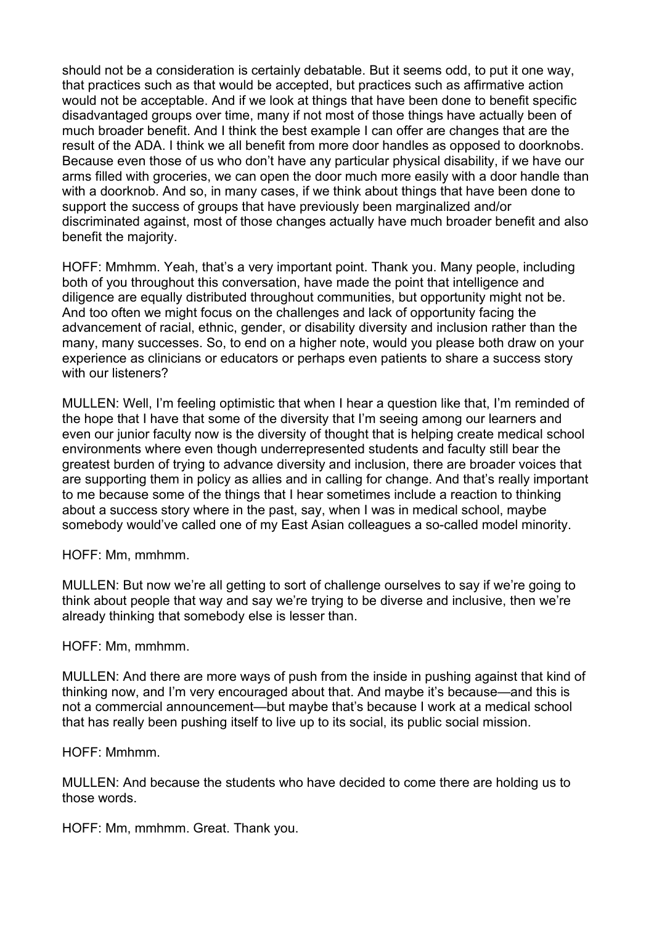should not be a consideration is certainly debatable. But it seems odd, to put it one way, that practices such as that would be accepted, but practices such as affirmative action would not be acceptable. And if we look at things that have been done to benefit specific disadvantaged groups over time, many if not most of those things have actually been of much broader benefit. And I think the best example I can offer are changes that are the result of the ADA. I think we all benefit from more door handles as opposed to doorknobs. Because even those of us who don't have any particular physical disability, if we have our arms filled with groceries, we can open the door much more easily with a door handle than with a doorknob. And so, in many cases, if we think about things that have been done to support the success of groups that have previously been marginalized and/or discriminated against, most of those changes actually have much broader benefit and also benefit the majority.

HOFF: Mmhmm. Yeah, that's a very important point. Thank you. Many people, including both of you throughout this conversation, have made the point that intelligence and diligence are equally distributed throughout communities, but opportunity might not be. And too often we might focus on the challenges and lack of opportunity facing the advancement of racial, ethnic, gender, or disability diversity and inclusion rather than the many, many successes. So, to end on a higher note, would you please both draw on your experience as clinicians or educators or perhaps even patients to share a success story with our listeners?

MULLEN: Well, I'm feeling optimistic that when I hear a question like that, I'm reminded of the hope that I have that some of the diversity that I'm seeing among our learners and even our junior faculty now is the diversity of thought that is helping create medical school environments where even though underrepresented students and faculty still bear the greatest burden of trying to advance diversity and inclusion, there are broader voices that are supporting them in policy as allies and in calling for change. And that's really important to me because some of the things that I hear sometimes include a reaction to thinking about a success story where in the past, say, when I was in medical school, maybe somebody would've called one of my East Asian colleagues a so-called model minority.

HOFF: Mm, mmhmm.

MULLEN: But now we're all getting to sort of challenge ourselves to say if we're going to think about people that way and say we're trying to be diverse and inclusive, then we're already thinking that somebody else is lesser than.

#### HOFF: Mm, mmhmm.

MULLEN: And there are more ways of push from the inside in pushing against that kind of thinking now, and I'm very encouraged about that. And maybe it's because—and this is not a commercial announcement—but maybe that's because I work at a medical school that has really been pushing itself to live up to its social, its public social mission.

### HOFF: Mmhmm.

MULLEN: And because the students who have decided to come there are holding us to those words.

HOFF: Mm, mmhmm. Great. Thank you.